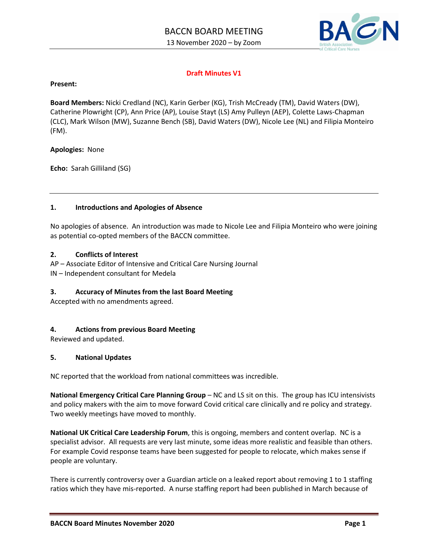

# **Draft Minutes V1**

#### **Present:**

**Board Members:** Nicki Credland (NC), Karin Gerber (KG), Trish McCready (TM), David Waters (DW), Catherine Plowright (CP), Ann Price (AP), Louise Stayt (LS) Amy Pulleyn (AEP), Colette Laws-Chapman (CLC), Mark Wilson (MW), Suzanne Bench (SB), David Waters (DW), Nicole Lee (NL) and Filipia Monteiro (FM).

#### **Apologies:** None

**Echo:** Sarah Gilliland (SG)

#### **1. Introductions and Apologies of Absence**

No apologies of absence. An introduction was made to Nicole Lee and Filipia Monteiro who were joining as potential co-opted members of the BACCN committee.

#### **2. Conflicts of Interest**

AP – Associate Editor of Intensive and Critical Care Nursing Journal

IN – Independent consultant for Medela

## **3. Accuracy of Minutes from the last Board Meeting**

Accepted with no amendments agreed.

## **4. Actions from previous Board Meeting**

Reviewed and updated.

#### **5. National Updates**

NC reported that the workload from national committees was incredible.

**National Emergency Critical Care Planning Group** – NC and LS sit on this. The group has ICU intensivists and policy makers with the aim to move forward Covid critical care clinically and re policy and strategy. Two weekly meetings have moved to monthly.

**National UK Critical Care Leadership Forum**, this is ongoing, members and content overlap. NC is a specialist advisor. All requests are very last minute, some ideas more realistic and feasible than others. For example Covid response teams have been suggested for people to relocate, which makes sense if people are voluntary.

There is currently controversy over a Guardian article on a leaked report about removing 1 to 1 staffing ratios which they have mis-reported. A nurse staffing report had been published in March because of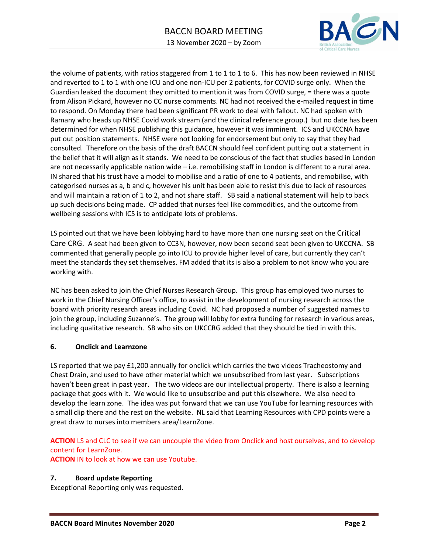

the volume of patients, with ratios staggered from 1 to 1 to 1 to 6. This has now been reviewed in NHSE and reverted to 1 to 1 with one ICU and one non-ICU per 2 patients, for COVID surge only. When the Guardian leaked the document they omitted to mention it was from COVID surge, = there was a quote from Alison Pickard, however no CC nurse comments. NC had not received the e-mailed request in time to respond. On Monday there had been significant PR work to deal with fallout. NC had spoken with Ramany who heads up NHSE Covid work stream (and the clinical reference group.) but no date has been determined for when NHSE publishing this guidance, however it was imminent. ICS and UKCCNA have put out position statements. NHSE were not looking for endorsement but only to say that they had consulted. Therefore on the basis of the draft BACCN should feel confident putting out a statement in the belief that it will align as it stands. We need to be conscious of the fact that studies based in London are not necessarily applicable nation wide – i.e. remobilising staff in London is different to a rural area. IN shared that his trust have a model to mobilise and a ratio of one to 4 patients, and remobilise, with categorised nurses as a, b and c, however his unit has been able to resist this due to lack of resources and will maintain a ration of 1 to 2, and not share staff. SB said a national statement will help to back up such decisions being made. CP added that nurses feel like commodities, and the outcome from wellbeing sessions with ICS is to anticipate lots of problems.

LS pointed out that we have been lobbying hard to have more than one nursing seat on the Critical Care CRG. A seat had been given to CC3N, however, now been second seat been given to UKCCNA. SB commented that generally people go into ICU to provide higher level of care, but currently they can't meet the standards they set themselves. FM added that its is also a problem to not know who you are working with.

NC has been asked to join the Chief Nurses Research Group. This group has employed two nurses to work in the Chief Nursing Officer's office, to assist in the development of nursing research across the board with priority research areas including Covid. NC had proposed a number of suggested names to join the group, including Suzanne's. The group will lobby for extra funding for research in various areas, including qualitative research. SB who sits on UKCCRG added that they should be tied in with this.

## **6. Onclick and Learnzone**

LS reported that we pay £1,200 annually for onclick which carries the two videos Tracheostomy and Chest Drain, and used to have other material which we unsubscribed from last year. Subscriptions haven't been great in past year. The two videos are our intellectual property. There is also a learning package that goes with it. We would like to unsubscribe and put this elsewhere. We also need to develop the learn zone. The idea was put forward that we can use YouTube for learning resources with a small clip there and the rest on the website. NL said that Learning Resources with CPD points were a great draw to nurses into members area/LearnZone.

**ACTION** LS and CLC to see if we can uncouple the video from Onclick and host ourselves, and to develop content for LearnZone.

**ACTION** IN to look at how we can use Youtube.

## **7. Board update Reporting**

Exceptional Reporting only was requested.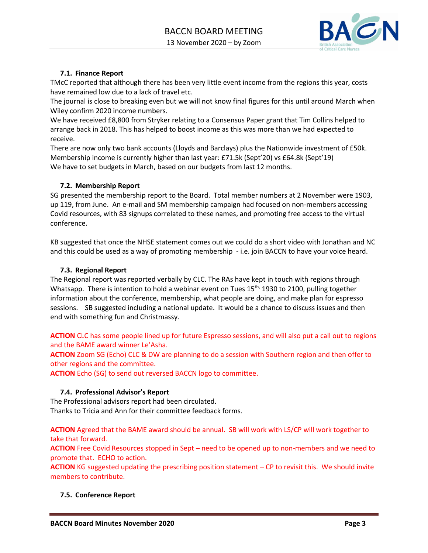

# **7.1. Finance Report**

TMcC reported that although there has been very little event income from the regions this year, costs have remained low due to a lack of travel etc.

The journal is close to breaking even but we will not know final figures for this until around March when Wiley confirm 2020 income numbers.

We have received £8,800 from Stryker relating to a Consensus Paper grant that Tim Collins helped to arrange back in 2018. This has helped to boost income as this was more than we had expected to receive.

There are now only two bank accounts (Lloyds and Barclays) plus the Nationwide investment of £50k. Membership income is currently higher than last year: £71.5k (Sept'20) vs £64.8k (Sept'19) We have to set budgets in March, based on our budgets from last 12 months.

## **7.2. Membership Report**

SG presented the membership report to the Board. Total member numbers at 2 November were 1903, up 119, from June. An e-mail and SM membership campaign had focused on non-members accessing Covid resources, with 83 signups correlated to these names, and promoting free access to the virtual conference.

KB suggested that once the NHSE statement comes out we could do a short video with Jonathan and NC and this could be used as a way of promoting membership - i.e. join BACCN to have your voice heard.

#### **7.3. Regional Report**

The Regional report was reported verbally by CLC. The RAs have kept in touch with regions through Whatsapp. There is intention to hold a webinar event on Tues  $15<sup>th</sup>$ , 1930 to 2100, pulling together information about the conference, membership, what people are doing, and make plan for espresso sessions. SB suggested including a national update. It would be a chance to discuss issues and then end with something fun and Christmassy.

**ACTION** CLC has some people lined up for future Espresso sessions, and will also put a call out to regions and the BAME award winner Le'Asha.

**ACTION** Zoom SG (Echo) CLC & DW are planning to do a session with Southern region and then offer to other regions and the committee.

**ACTION** Echo (SG) to send out reversed BACCN logo to committee.

## **7.4. Professional Advisor's Report**

The Professional advisors report had been circulated. Thanks to Tricia and Ann for their committee feedback forms.

**ACTION** Agreed that the BAME award should be annual. SB will work with LS/CP will work together to take that forward.

**ACTION** Free Covid Resources stopped in Sept – need to be opened up to non-members and we need to promote that. ECHO to action.

**ACTION** KG suggested updating the prescribing position statement – CP to revisit this. We should invite members to contribute.

## **7.5. Conference Report**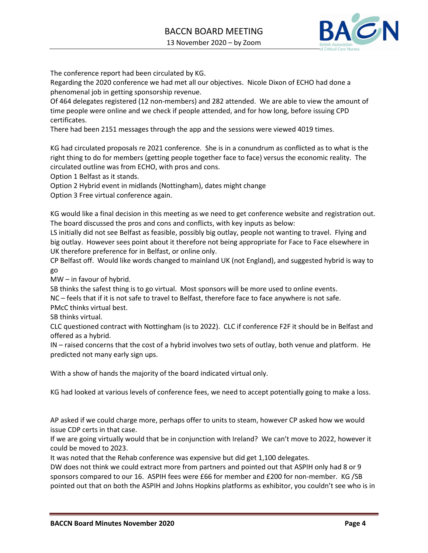

The conference report had been circulated by KG.

Regarding the 2020 conference we had met all our objectives. Nicole Dixon of ECHO had done a phenomenal job in getting sponsorship revenue.

Of 464 delegates registered (12 non-members) and 282 attended. We are able to view the amount of time people were online and we check if people attended, and for how long, before issuing CPD certificates.

There had been 2151 messages through the app and the sessions were viewed 4019 times.

KG had circulated proposals re 2021 conference. She is in a conundrum as conflicted as to what is the right thing to do for members (getting people together face to face) versus the economic reality. The circulated outline was from ECHO, with pros and cons.

Option 1 Belfast as it stands.

Option 2 Hybrid event in midlands (Nottingham), dates might change

Option 3 Free virtual conference again.

KG would like a final decision in this meeting as we need to get conference website and registration out. The board discussed the pros and cons and conflicts, with key inputs as below:

LS initially did not see Belfast as feasible, possibly big outlay, people not wanting to travel. Flying and big outlay. However sees point about it therefore not being appropriate for Face to Face elsewhere in UK therefore preference for in Belfast, or online only.

CP Belfast off. Would like words changed to mainland UK (not England), and suggested hybrid is way to go

MW – in favour of hybrid.

SB thinks the safest thing is to go virtual. Most sponsors will be more used to online events.

NC – feels that if it is not safe to travel to Belfast, therefore face to face anywhere is not safe.

PMcC thinks virtual best.

SB thinks virtual.

CLC questioned contract with Nottingham (is to 2022). CLC if conference F2F it should be in Belfast and offered as a hybrid.

IN – raised concerns that the cost of a hybrid involves two sets of outlay, both venue and platform. He predicted not many early sign ups.

With a show of hands the majority of the board indicated virtual only.

KG had looked at various levels of conference fees, we need to accept potentially going to make a loss.

AP asked if we could charge more, perhaps offer to units to steam, however CP asked how we would issue CDP certs in that case.

If we are going virtually would that be in conjunction with Ireland? We can't move to 2022, however it could be moved to 2023.

It was noted that the Rehab conference was expensive but did get 1,100 delegates.

DW does not think we could extract more from partners and pointed out that ASPIH only had 8 or 9 sponsors compared to our 16. ASPIH fees were £66 for member and £200 for non-member. KG /SB pointed out that on both the ASPIH and Johns Hopkins platforms as exhibitor, you couldn't see who is in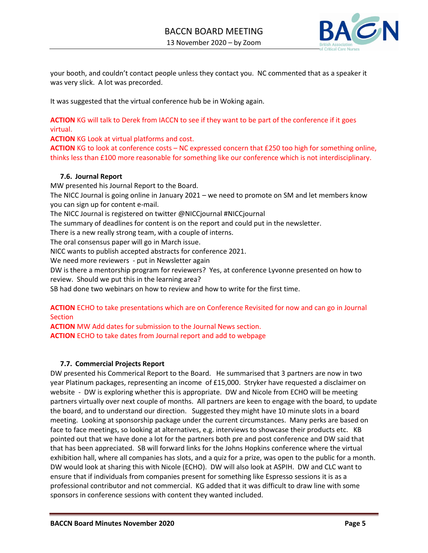

your booth, and couldn't contact people unless they contact you. NC commented that as a speaker it was very slick. A lot was precorded.

It was suggested that the virtual conference hub be in Woking again.

**ACTION** KG will talk to Derek from IACCN to see if they want to be part of the conference if it goes virtual.

**ACTION** KG Look at virtual platforms and cost.

**ACTION** KG to look at conference costs – NC expressed concern that £250 too high for something online, thinks less than £100 more reasonable for something like our conference which is not interdisciplinary.

#### **7.6. Journal Report**

MW presented his Journal Report to the Board.

The NICC Journal is going online in January 2021 – we need to promote on SM and let members know you can sign up for content e-mail.

The NICC Journal is registered on twitter @NICCjournal #NICCjournal

The summary of deadlines for content is on the report and could put in the newsletter.

There is a new really strong team, with a couple of interns.

The oral consensus paper will go in March issue.

NICC wants to publish accepted abstracts for conference 2021.

We need more reviewers - put in Newsletter again

DW is there a mentorship program for reviewers? Yes, at conference Lyvonne presented on how to review. Should we put this in the learning area?

SB had done two webinars on how to review and how to write for the first time.

# **ACTION** ECHO to take presentations which are on Conference Revisited for now and can go in Journal **Section**

**ACTION** MW Add dates for submission to the Journal News section. **ACTION** ECHO to take dates from Journal report and add to webpage

#### **7.7. Commercial Projects Report**

DW presented his Commerical Report to the Board. He summarised that 3 partners are now in two year Platinum packages, representing an income of £15,000. Stryker have requested a disclaimer on website - DW is exploring whether this is appropriate. DW and Nicole from ECHO will be meeting partners virtually over next couple of months. All partners are keen to engage with the board, to update the board, and to understand our direction. Suggested they might have 10 minute slots in a board meeting. Looking at sponsorship package under the current circumstances. Many perks are based on face to face meetings, so looking at alternatives, e.g. interviews to showcase their products etc. KB pointed out that we have done a lot for the partners both pre and post conference and DW said that that has been appreciated. SB will forward links for the Johns Hopkins conference where the virtual exhibition hall, where all companies has slots, and a quiz for a prize, was open to the public for a month. DW would look at sharing this with Nicole (ECHO). DW will also look at ASPIH. DW and CLC want to ensure that if individuals from companies present for something like Espresso sessions it is as a professional contributor and not commercial. KG added that it was difficult to draw line with some sponsors in conference sessions with content they wanted included.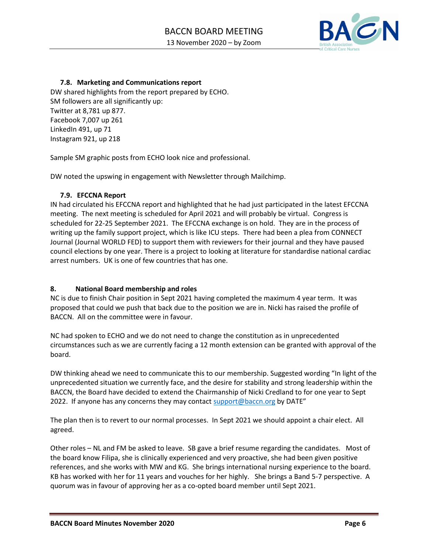

# **7.8. Marketing and Communications report**

DW shared highlights from the report prepared by ECHO. SM followers are all significantly up: Twitter at 8,781 up 877. Facebook 7,007 up 261 LinkedIn 491, up 71 Instagram 921, up 218

Sample SM graphic posts from ECHO look nice and professional.

DW noted the upswing in engagement with Newsletter through Mailchimp.

## **7.9. EFCCNA Report**

IN had circulated his EFCCNA report and highlighted that he had just participated in the latest EFCCNA meeting. The next meeting is scheduled for April 2021 and will probably be virtual. Congress is scheduled for 22-25 September 2021. The EFCCNA exchange is on hold. They are in the process of writing up the family support project, which is like ICU steps. There had been a plea from CONNECT Journal (Journal WORLD FED) to support them with reviewers for their journal and they have paused council elections by one year. There is a project to looking at literature for standardise national cardiac arrest numbers. UK is one of few countries that has one.

## **8. National Board membership and roles**

NC is due to finish Chair position in Sept 2021 having completed the maximum 4 year term. It was proposed that could we push that back due to the position we are in. Nicki has raised the profile of BACCN. All on the committee were in favour.

NC had spoken to ECHO and we do not need to change the constitution as in unprecedented circumstances such as we are currently facing a 12 month extension can be granted with approval of the board.

DW thinking ahead we need to communicate this to our membership. Suggested wording "In light of the unprecedented situation we currently face, and the desire for stability and strong leadership within the BACCN, the Board have decided to extend the Chairmanship of Nicki Credland to for one year to Sept 2022. If anyone has any concerns they may contact [support@baccn.org](mailto:support@baccn.org) by DATE"

The plan then is to revert to our normal processes. In Sept 2021 we should appoint a chair elect. All agreed.

Other roles – NL and FM be asked to leave. SB gave a brief resume regarding the candidates. Most of the board know Filipa, she is clinically experienced and very proactive, she had been given positive references, and she works with MW and KG. She brings international nursing experience to the board. KB has worked with her for 11 years and vouches for her highly. She brings a Band 5-7 perspective. A quorum was in favour of approving her as a co-opted board member until Sept 2021.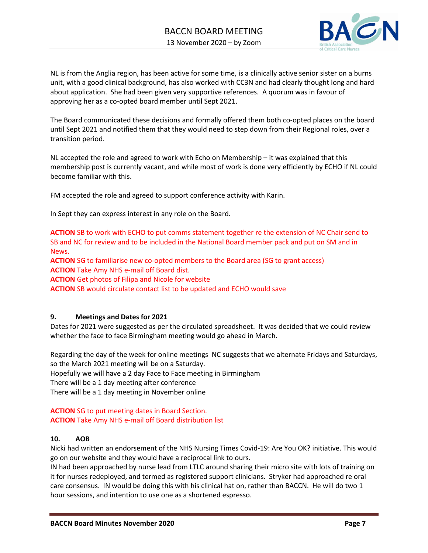

NL is from the Anglia region, has been active for some time, is a clinically active senior sister on a burns unit, with a good clinical background, has also worked with CC3N and had clearly thought long and hard about application. She had been given very supportive references. A quorum was in favour of approving her as a co-opted board member until Sept 2021.

The Board communicated these decisions and formally offered them both co-opted places on the board until Sept 2021 and notified them that they would need to step down from their Regional roles, over a transition period.

NL accepted the role and agreed to work with Echo on Membership – it was explained that this membership post is currently vacant, and while most of work is done very efficiently by ECHO if NL could become familiar with this.

FM accepted the role and agreed to support conference activity with Karin.

In Sept they can express interest in any role on the Board.

**ACTION** SB to work with ECHO to put comms statement together re the extension of NC Chair send to SB and NC for review and to be included in the National Board member pack and put on SM and in News.

**ACTION** SG to familiarise new co-opted members to the Board area (SG to grant access) **ACTION** Take Amy NHS e-mail off Board dist.

**ACTION** Get photos of Filipa and Nicole for website

**ACTION** SB would circulate contact list to be updated and ECHO would save

## **9. Meetings and Dates for 2021**

Dates for 2021 were suggested as per the circulated spreadsheet. It was decided that we could review whether the face to face Birmingham meeting would go ahead in March.

Regarding the day of the week for online meetings NC suggests that we alternate Fridays and Saturdays, so the March 2021 meeting will be on a Saturday.

Hopefully we will have a 2 day Face to Face meeting in Birmingham

There will be a 1 day meeting after conference

There will be a 1 day meeting in November online

# **ACTION** SG to put meeting dates in Board Section. **ACTION** Take Amy NHS e-mail off Board distribution list

## **10. AOB**

Nicki had written an endorsement of the NHS Nursing Times Covid-19: Are You OK? initiative. This would go on our website and they would have a reciprocal link to ours.

IN had been approached by nurse lead from LTLC around sharing their micro site with lots of training on it for nurses redeployed, and termed as registered support clinicians. Stryker had approached re oral care consensus. IN would be doing this with his clinical hat on, rather than BACCN. He will do two 1 hour sessions, and intention to use one as a shortened espresso.